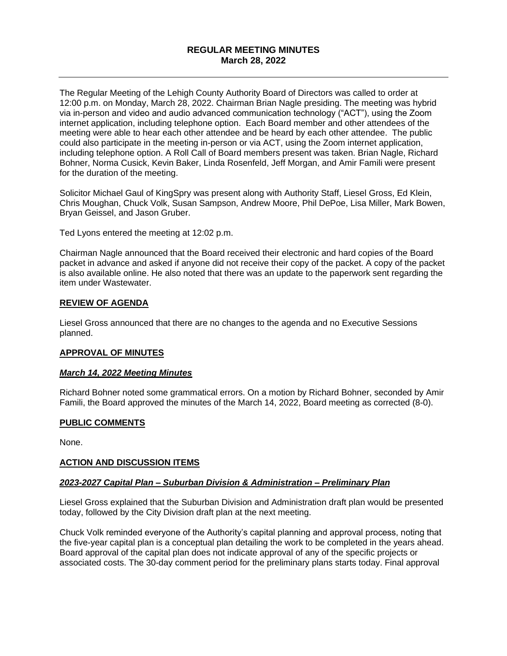# **REGULAR MEETING MINUTES March 28, 2022**

The Regular Meeting of the Lehigh County Authority Board of Directors was called to order at 12:00 p.m. on Monday, March 28, 2022. Chairman Brian Nagle presiding. The meeting was hybrid via in-person and video and audio advanced communication technology ("ACT"), using the Zoom internet application, including telephone option. Each Board member and other attendees of the meeting were able to hear each other attendee and be heard by each other attendee. The public could also participate in the meeting in-person or via ACT, using the Zoom internet application, including telephone option. A Roll Call of Board members present was taken. Brian Nagle, Richard Bohner, Norma Cusick, Kevin Baker, Linda Rosenfeld, Jeff Morgan, and Amir Famili were present for the duration of the meeting.

Solicitor Michael Gaul of KingSpry was present along with Authority Staff, Liesel Gross, Ed Klein, Chris Moughan, Chuck Volk, Susan Sampson, Andrew Moore, Phil DePoe, Lisa Miller, Mark Bowen, Bryan Geissel, and Jason Gruber.

Ted Lyons entered the meeting at 12:02 p.m.

Chairman Nagle announced that the Board received their electronic and hard copies of the Board packet in advance and asked if anyone did not receive their copy of the packet. A copy of the packet is also available online. He also noted that there was an update to the paperwork sent regarding the item under Wastewater.

### **REVIEW OF AGENDA**

Liesel Gross announced that there are no changes to the agenda and no Executive Sessions planned.

### **APPROVAL OF MINUTES**

### *March 14, 2022 Meeting Minutes*

Richard Bohner noted some grammatical errors. On a motion by Richard Bohner, seconded by Amir Famili, the Board approved the minutes of the March 14, 2022, Board meeting as corrected (8-0).

### **PUBLIC COMMENTS**

None.

### **ACTION AND DISCUSSION ITEMS**

### *2023-2027 Capital Plan – Suburban Division & Administration – Preliminary Plan*

Liesel Gross explained that the Suburban Division and Administration draft plan would be presented today, followed by the City Division draft plan at the next meeting.

Chuck Volk reminded everyone of the Authority's capital planning and approval process, noting that the five-year capital plan is a conceptual plan detailing the work to be completed in the years ahead. Board approval of the capital plan does not indicate approval of any of the specific projects or associated costs. The 30-day comment period for the preliminary plans starts today. Final approval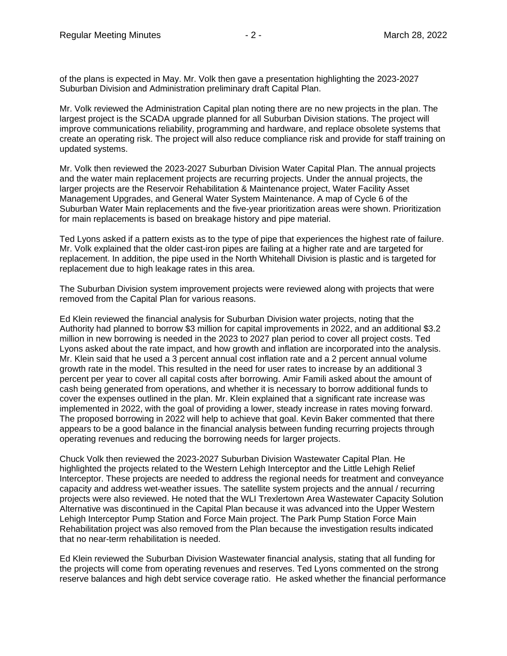of the plans is expected in May. Mr. Volk then gave a presentation highlighting the 2023-2027 Suburban Division and Administration preliminary draft Capital Plan.

Mr. Volk reviewed the Administration Capital plan noting there are no new projects in the plan. The largest project is the SCADA upgrade planned for all Suburban Division stations. The project will improve communications reliability, programming and hardware, and replace obsolete systems that create an operating risk. The project will also reduce compliance risk and provide for staff training on updated systems.

Mr. Volk then reviewed the 2023-2027 Suburban Division Water Capital Plan. The annual projects and the water main replacement projects are recurring projects. Under the annual projects, the larger projects are the Reservoir Rehabilitation & Maintenance project, Water Facility Asset Management Upgrades, and General Water System Maintenance. A map of Cycle 6 of the Suburban Water Main replacements and the five-year prioritization areas were shown. Prioritization for main replacements is based on breakage history and pipe material.

Ted Lyons asked if a pattern exists as to the type of pipe that experiences the highest rate of failure. Mr. Volk explained that the older cast-iron pipes are failing at a higher rate and are targeted for replacement. In addition, the pipe used in the North Whitehall Division is plastic and is targeted for replacement due to high leakage rates in this area.

The Suburban Division system improvement projects were reviewed along with projects that were removed from the Capital Plan for various reasons.

Ed Klein reviewed the financial analysis for Suburban Division water projects, noting that the Authority had planned to borrow \$3 million for capital improvements in 2022, and an additional \$3.2 million in new borrowing is needed in the 2023 to 2027 plan period to cover all project costs. Ted Lyons asked about the rate impact, and how growth and inflation are incorporated into the analysis. Mr. Klein said that he used a 3 percent annual cost inflation rate and a 2 percent annual volume growth rate in the model. This resulted in the need for user rates to increase by an additional 3 percent per year to cover all capital costs after borrowing. Amir Famili asked about the amount of cash being generated from operations, and whether it is necessary to borrow additional funds to cover the expenses outlined in the plan. Mr. Klein explained that a significant rate increase was implemented in 2022, with the goal of providing a lower, steady increase in rates moving forward. The proposed borrowing in 2022 will help to achieve that goal. Kevin Baker commented that there appears to be a good balance in the financial analysis between funding recurring projects through operating revenues and reducing the borrowing needs for larger projects.

Chuck Volk then reviewed the 2023-2027 Suburban Division Wastewater Capital Plan. He highlighted the projects related to the Western Lehigh Interceptor and the Little Lehigh Relief Interceptor. These projects are needed to address the regional needs for treatment and conveyance capacity and address wet-weather issues. The satellite system projects and the annual / recurring projects were also reviewed. He noted that the WLI Trexlertown Area Wastewater Capacity Solution Alternative was discontinued in the Capital Plan because it was advanced into the Upper Western Lehigh Interceptor Pump Station and Force Main project. The Park Pump Station Force Main Rehabilitation project was also removed from the Plan because the investigation results indicated that no near-term rehabilitation is needed.

Ed Klein reviewed the Suburban Division Wastewater financial analysis, stating that all funding for the projects will come from operating revenues and reserves. Ted Lyons commented on the strong reserve balances and high debt service coverage ratio. He asked whether the financial performance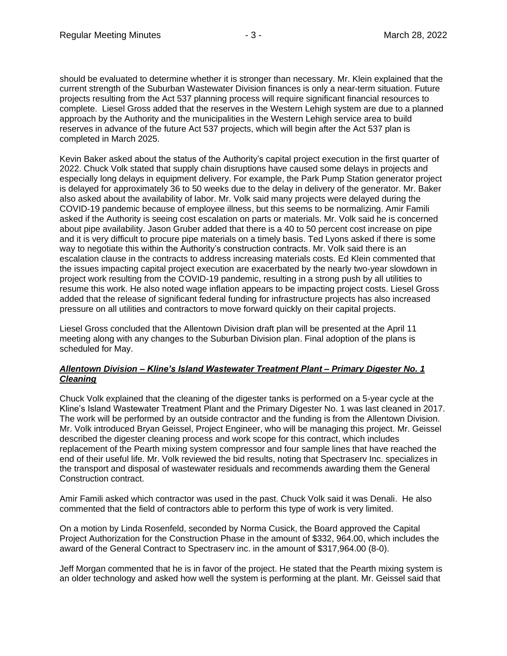should be evaluated to determine whether it is stronger than necessary. Mr. Klein explained that the current strength of the Suburban Wastewater Division finances is only a near-term situation. Future projects resulting from the Act 537 planning process will require significant financial resources to complete. Liesel Gross added that the reserves in the Western Lehigh system are due to a planned approach by the Authority and the municipalities in the Western Lehigh service area to build reserves in advance of the future Act 537 projects, which will begin after the Act 537 plan is completed in March 2025.

Kevin Baker asked about the status of the Authority's capital project execution in the first quarter of 2022. Chuck Volk stated that supply chain disruptions have caused some delays in projects and especially long delays in equipment delivery. For example, the Park Pump Station generator project is delayed for approximately 36 to 50 weeks due to the delay in delivery of the generator. Mr. Baker also asked about the availability of labor. Mr. Volk said many projects were delayed during the COVID-19 pandemic because of employee illness, but this seems to be normalizing. Amir Famili asked if the Authority is seeing cost escalation on parts or materials. Mr. Volk said he is concerned about pipe availability. Jason Gruber added that there is a 40 to 50 percent cost increase on pipe and it is very difficult to procure pipe materials on a timely basis. Ted Lyons asked if there is some way to negotiate this within the Authority's construction contracts. Mr. Volk said there is an escalation clause in the contracts to address increasing materials costs. Ed Klein commented that the issues impacting capital project execution are exacerbated by the nearly two-year slowdown in project work resulting from the COVID-19 pandemic, resulting in a strong push by all utilities to resume this work. He also noted wage inflation appears to be impacting project costs. Liesel Gross added that the release of significant federal funding for infrastructure projects has also increased pressure on all utilities and contractors to move forward quickly on their capital projects.

Liesel Gross concluded that the Allentown Division draft plan will be presented at the April 11 meeting along with any changes to the Suburban Division plan. Final adoption of the plans is scheduled for May.

### *Allentown Division – Kline's Island Wastewater Treatment Plant – Primary Digester No. 1 Cleaning*

Chuck Volk explained that the cleaning of the digester tanks is performed on a 5-year cycle at the Kline's Island Wastewater Treatment Plant and the Primary Digester No. 1 was last cleaned in 2017. The work will be performed by an outside contractor and the funding is from the Allentown Division. Mr. Volk introduced Bryan Geissel, Project Engineer, who will be managing this project. Mr. Geissel described the digester cleaning process and work scope for this contract, which includes replacement of the Pearth mixing system compressor and four sample lines that have reached the end of their useful life. Mr. Volk reviewed the bid results, noting that Spectraserv Inc. specializes in the transport and disposal of wastewater residuals and recommends awarding them the General Construction contract.

Amir Famili asked which contractor was used in the past. Chuck Volk said it was Denali. He also commented that the field of contractors able to perform this type of work is very limited.

On a motion by Linda Rosenfeld, seconded by Norma Cusick, the Board approved the Capital Project Authorization for the Construction Phase in the amount of \$332, 964.00, which includes the award of the General Contract to Spectraserv inc. in the amount of \$317,964.00 (8-0).

Jeff Morgan commented that he is in favor of the project. He stated that the Pearth mixing system is an older technology and asked how well the system is performing at the plant. Mr. Geissel said that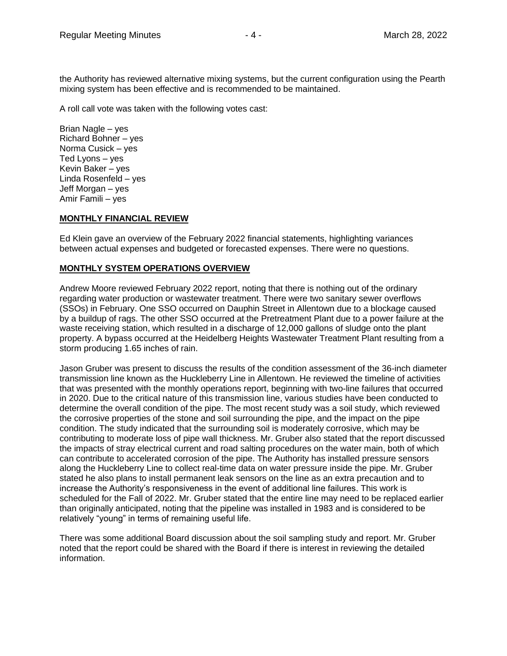the Authority has reviewed alternative mixing systems, but the current configuration using the Pearth mixing system has been effective and is recommended to be maintained.

A roll call vote was taken with the following votes cast:

Brian Nagle – yes Richard Bohner – yes Norma Cusick – yes Ted Lyons – yes Kevin Baker – yes Linda Rosenfeld – yes Jeff Morgan – yes Amir Famili – yes

### **MONTHLY FINANCIAL REVIEW**

Ed Klein gave an overview of the February 2022 financial statements, highlighting variances between actual expenses and budgeted or forecasted expenses. There were no questions.

#### **MONTHLY SYSTEM OPERATIONS OVERVIEW**

Andrew Moore reviewed February 2022 report, noting that there is nothing out of the ordinary regarding water production or wastewater treatment. There were two sanitary sewer overflows (SSOs) in February. One SSO occurred on Dauphin Street in Allentown due to a blockage caused by a buildup of rags. The other SSO occurred at the Pretreatment Plant due to a power failure at the waste receiving station, which resulted in a discharge of 12,000 gallons of sludge onto the plant property. A bypass occurred at the Heidelberg Heights Wastewater Treatment Plant resulting from a storm producing 1.65 inches of rain.

Jason Gruber was present to discuss the results of the condition assessment of the 36-inch diameter transmission line known as the Huckleberry Line in Allentown. He reviewed the timeline of activities that was presented with the monthly operations report, beginning with two-line failures that occurred in 2020. Due to the critical nature of this transmission line, various studies have been conducted to determine the overall condition of the pipe. The most recent study was a soil study, which reviewed the corrosive properties of the stone and soil surrounding the pipe, and the impact on the pipe condition. The study indicated that the surrounding soil is moderately corrosive, which may be contributing to moderate loss of pipe wall thickness. Mr. Gruber also stated that the report discussed the impacts of stray electrical current and road salting procedures on the water main, both of which can contribute to accelerated corrosion of the pipe. The Authority has installed pressure sensors along the Huckleberry Line to collect real-time data on water pressure inside the pipe. Mr. Gruber stated he also plans to install permanent leak sensors on the line as an extra precaution and to increase the Authority's responsiveness in the event of additional line failures. This work is scheduled for the Fall of 2022. Mr. Gruber stated that the entire line may need to be replaced earlier than originally anticipated, noting that the pipeline was installed in 1983 and is considered to be relatively "young" in terms of remaining useful life.

There was some additional Board discussion about the soil sampling study and report. Mr. Gruber noted that the report could be shared with the Board if there is interest in reviewing the detailed information.